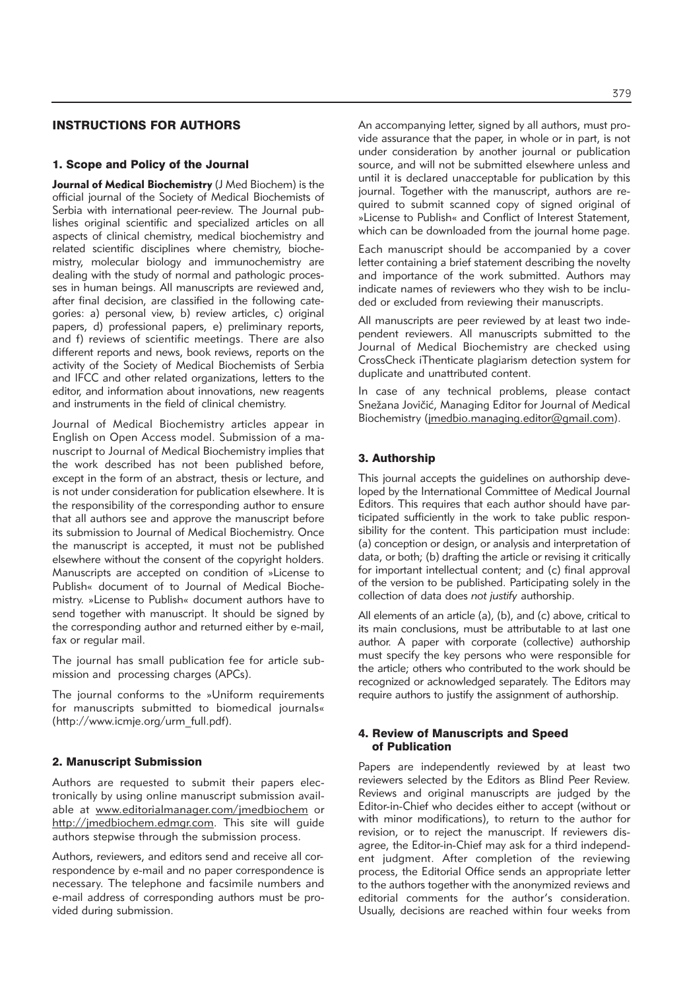# INSTRUCTIONS FOR AUTHORS

### 1. Scope and Policy of the Journal

**Journal of Medical Biochemistry** (J Med Biochem) is the official journal of the Society of Medical Biochemists of Serbia with international peer-review. The Journal publishes original scientific and specialized articles on all aspects of clinical chemistry, medical biochemistry and related scientific disciplines where chemistry, biochemistry, molecular biology and immunochemistry are dealing with the study of normal and pathologic processes in human beings. All manuscripts are reviewed and, after final decision, are classified in the following categories: a) personal view, b) review articles, c) original papers, d) professional papers, e) preliminary reports, and f) reviews of scientific meetings. There are also different reports and news, book reviews, reports on the activity of the Society of Medical Biochemists of Serbia and IFCC and other related organizations, letters to the editor, and information about innovations, new reagents and instruments in the field of clinical chemistry.

Journal of Medical Biochemistry articles appear in English on Open Access model. Submission of a manu script to Journal of Medical Biochemistry implies that the work described has not been published before, except in the form of an abstract, thesis or lecture, and is not under consideration for publication elsewhere. It is the responsibility of the corresponding author to ensure that all authors see and approve the manuscript before its submission to Journal of Medical Biochemistry. Once the manuscript is accepted, it must not be published elsewhere without the consent of the copyright holders. Manuscripts are accepted on condition of »License to Publish« document of to Journal of Medical Biochemistry. »License to Publish« document authors have to send together with manuscript. It should be signed by the corresponding author and returned either by e-mail, fax or regular mail.

The journal has small publication fee for article submission and processing charges (APCs).

The journal conforms to the »Uniform requirements for manuscripts submitted to biomedical journals« (http://www.icmje.org/urm\_full.pdf).

#### 2. Manuscript Submission

Authors are requested to submit their papers electronically by using online manuscript submission available at www.editorialmanager.com/jmedbiochem or http://jmedbiochem.edmgr.com. This site will guide authors stepwise through the submission process.

Authors, reviewers, and editors send and receive all correspondence by e-mail and no paper correspondence is necessary. The telephone and facsimile numbers and e-mail address of corresponding authors must be provided during submission.

An accompanying letter, signed by all authors, must provide assurance that the paper, in whole or in part, is not under consideration by another journal or publication source, and will not be submitted elsewhere unless and until it is declared unacceptable for publication by this journal. Together with the manuscript, authors are required to submit scanned copy of signed original of »License to Publish« and Conflict of Interest Statement, which can be downloaded from the journal home page.

Each manuscript should be accompanied by a cover letter containing a brief statement describing the novelty and importance of the work submitted. Authors may indicate names of reviewers who they wish to be included or excluded from reviewing their manuscripts.

All manuscripts are peer reviewed by at least two independent reviewers. All manuscripts submitted to the Journal of Medical Biochemistry are checked using CrossCheck iThenticate plagiarism detection system for duplicate and unattributed content.

In case of any technical problems, please contact Snežana Jovičić, Managing Editor for Journal of Medical Biochemistry (jmedbio.managing.editor@gmail.com).

## 3. Authorship

This journal accepts the guidelines on authorship developed by the International Committee of Medical Journal Editors. This requires that each author should have participated sufficiently in the work to take public responsibility for the content. This participation must include: (a) conception or design, or analysis and interpretation of data, or both; (b) drafting the article or revising it critically for important intellectual content; and (c) final approval of the version to be published. Participating solely in the collection of data does *not justify* authorship.

All elements of an article (a), (b), and (c) above, critical to its main conclusions, must be attributable to at last one author. A paper with corporate (collective) authorship must specify the key persons who were responsible for the article; others who contributed to the work should be re cognized or acknowledged separately. The Editors may require authors to justify the assignment of authorship.

## 4. Review of Manuscripts and Speed of Publication

Papers are independently reviewed by at least two reviewers selected by the Editors as Blind Peer Review. Reviews and original manuscripts are judged by the Editor-in-Chief who decides either to accept (without or with minor modifications), to return to the author for revision, or to reject the manuscript. If reviewers disagree, the Editor-in-Chief may ask for a third independent judgment. After completion of the reviewing process, the Editorial Office sends an appropriate letter to the authors together with the anonymized reviews and editorial comments for the author's consideration. Usually, decisions are reached within four weeks from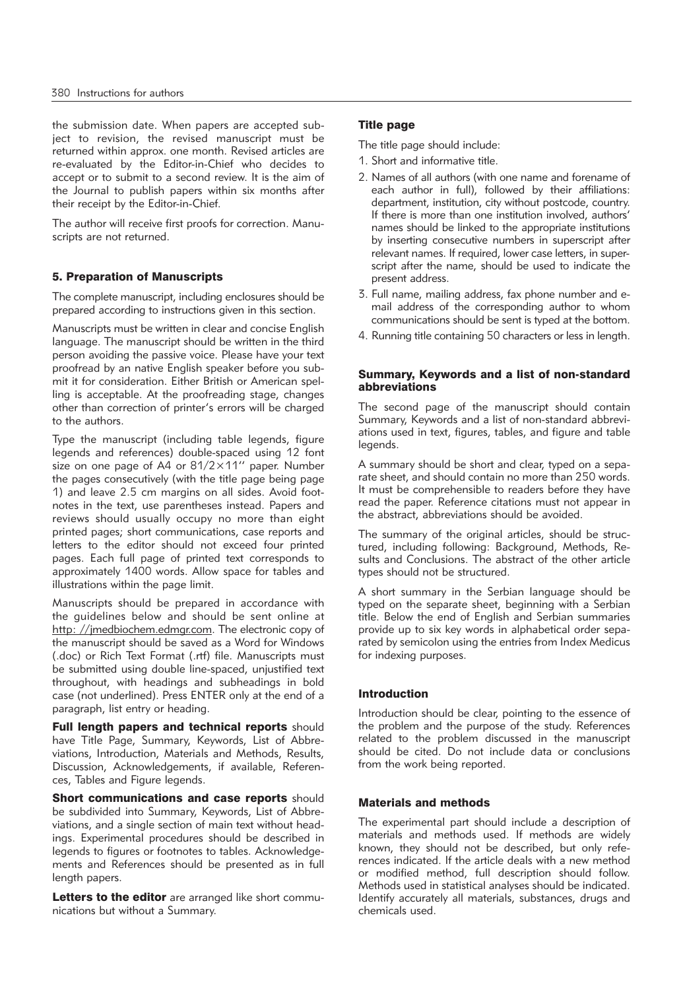the submission date. When papers are accepted subject to revision, the revised manuscript must be returned within approx. one month. Revised articles are re-evaluated by the Editor-in-Chief who decides to accept or to submit to a second review. It is the aim of the Journal to publish papers within six months after their receipt by the Editor-in-Chief.

The author will receive first proofs for correction. Manuscripts are not returned.

## 5. Preparation of Manuscripts

The complete manuscript, including enclosures should be prepared according to instructions given in this section.

Manuscripts must be written in clear and concise English language. The manuscript should be written in the third person avoiding the passive voice. Please have your text proofread by an native English speaker before you submit it for consideration. Either British or American spelling is acceptable. At the proofreading stage, changes other than correction of printer's errors will be charged to the authors.

Type the manuscript (including table legends, figure legends and references) double-spaced using 12 font size on one page of A4 or  $81/2 \times 11''$  paper. Number the pages consecutively (with the title page being page 1) and leave 2.5 cm margins on all sides. Avoid footnotes in the text, use parentheses instead. Papers and reviews should usually occupy no more than eight printed pages; short communications, case reports and letters to the editor should not exceed four printed pages. Each full page of printed text corresponds to approximately 1400 words. Allow space for tables and illustrations within the page limit.

Manuscripts should be prepared in accordance with the guidelines below and should be sent online at http: //jmedbiochem.edmgr.com. The electronic copy of the manuscript should be saved as a Word for Windows (.doc) or Rich Text Format (.rtf) file. Manuscripts must be submitted using double line-spaced, unjustified text throughout, with headings and subheadings in bold case (not underlined). Press ENTER only at the end of a paragraph, list entry or heading.

Full length papers and technical reports should have Title Page, Summary, Keywords, List of Abbreviations, Introduction, Materials and Methods, Results, Discussion, Acknowledgements, if available, References, Tables and Figure legends.

Short communications and case reports should be subdivided into Summary, Keywords, List of Abbreviations, and a single section of main text without headings. Experimental procedures should be described in legends to figures or footnotes to tables. Acknowledgements and References should be presented as in full length papers.

Letters to the editor are arranged like short communications but without a Summary.

## Title page

The title page should include:

- 1. Short and informative title.
- 2. Names of all authors (with one name and forename of each author in full), followed by their affiliations: department, institution, city without postcode, country. If there is more than one institution involved, authors' names should be linked to the appropriate institutions by inserting consecutive numbers in superscript after relevant names. If required, lower case letters, in superscript after the name, should be used to indicate the present address.
- 3. Full name, mailing address, fax phone number and email address of the corresponding author to whom communications should be sent is typed at the bottom.
- 4. Running title containing 50 characters or less in length.

#### Summary, Keywords and a list of non-standard abbreviations

The second page of the manuscript should contain Summary, Keywords and a list of non-standard abbreviations used in text, figures, tables, and figure and table legends.

A summary should be short and clear, typed on a separate sheet, and should contain no more than 250 words. It must be comprehensible to readers before they have read the paper. Reference citations must not appear in the abstract, abbreviations should be avoided.

The summary of the original articles, should be structured, including following: Background, Methods, Results and Conclusions. The abstract of the other article types should not be structured.

A short summary in the Serbian language should be typed on the separate sheet, beginning with a Serbian title. Below the end of English and Serbian summaries provide up to six key words in alphabetical order separated by semicolon using the entries from Index Medicus for indexing purposes.

## Introduction

Introduction should be clear, pointing to the essence of the problem and the purpose of the study. References related to the problem discussed in the manuscript should be cited. Do not include data or conclusions from the work being reported.

### Materials and methods

The experimental part should include a description of materials and methods used. If methods are widely known, they should not be described, but only references indicated. If the article deals with a new method or modified method, full description should follow. Methods used in statistical analyses should be indicated. Identify accurately all materials, substances, drugs and chemicals used.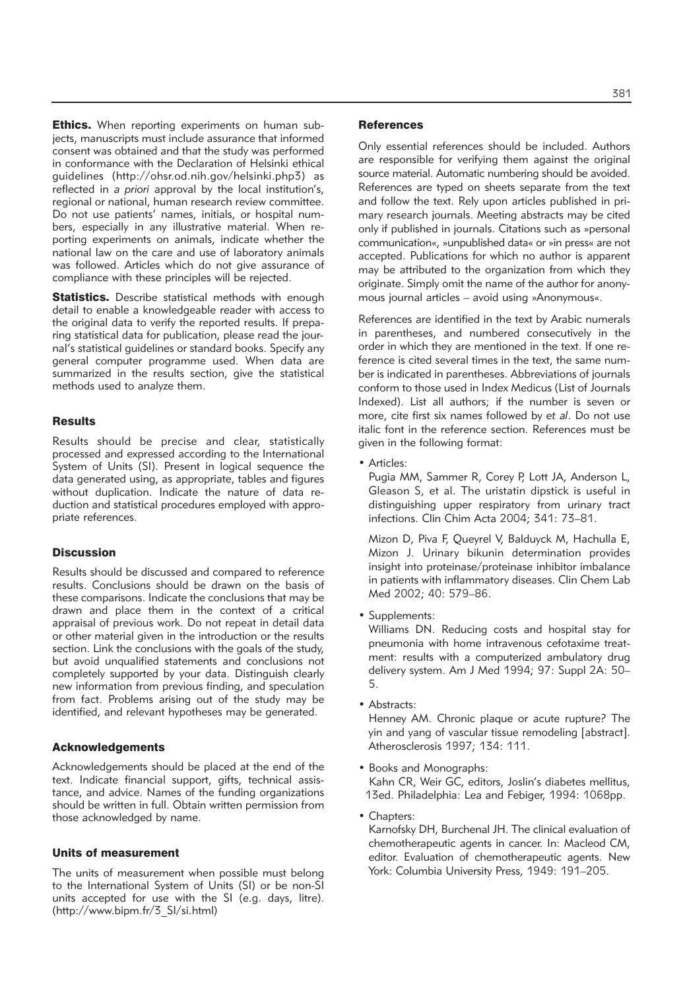**Ethics.** When reporting experiments on human subjects, manuscripts must include assurance that informed consent was obtained and that the study was performed in conformance with the Declaration of Helsinki ethical guidelines (http://ohsr.od.nih.gov/helsinki.php3) as reflected in *a priori* approval by the local institution's, regional or national, human research review committee. Do not use patients' names, initials, or hospital numbers, especially in any illustrative material. When reporting experiments on animals, indicate whether the national law on the care and use of laboratory animals was followed. Articles which do not give assurance of compliance with these principles will be rejected.

**Statistics.** Describe statistical methods with enough detail to enable a knowledgeable reader with access to the original data to verify the reported results. If preparing statistical data for publication, please read the journal's statistical guidelines or standard books. Specify any general computer programme used. When data are summarized in the results section, give the statistical methods used to analyze them.

### **Results**

Results should be precise and clear, statistically processed and expressed according to the International System of Units (SI). Present in logical sequence the data generated using, as appropriate, tables and figures without duplication. Indicate the nature of data reduction and statistical procedures employed with appropriate references.

## **Discussion**

Results should be discussed and compared to reference results. Conclusions should be drawn on the basis of these comparisons. Indicate the conclusions that may be drawn and place them in the context of a critical appraisal of previous work. Do not repeat in detail data or other material given in the introduction or the results section. Link the conclusions with the goals of the study, but avoid unqualified statements and conclusions not completely supported by your data. Distinguish clearly new information from previous finding, and speculation from fact. Problems arising out of the study may be identified, and relevant hypotheses may be generated.

#### Acknowledgements

Acknowledgements should be placed at the end of the text. Indicate financial support, gifts, technical assistance, and advice. Names of the funding organizations should be written in full. Obtain written permission from those acknowledged by name.

#### Units of measurement

The units of measurement when possible must belong to the International System of Units (SI) or be non-SI units accepted for use with the SI (e.g. days, litre). (http://www.bipm.fr/3\_SI/si.html)

#### **References**

Only essential references should be included. Authors are responsible for verifying them against the original source material. Automatic numbering should be avoided. References are typed on sheets separate from the text and follow the text. Rely upon articles published in primary research journals. Meeting abstracts may be cited only if published in journals. Citations such as »personal communication«, »unpublished data« or »in press« are not accepted. Publications for which no author is apparent may be attributed to the organization from which they originate. Simply omit the name of the author for anonymous journal articles – avoid using »Anonymous«.

References are identified in the text by Arabic numerals in parentheses, and numbered consecutively in the order in which they are mentioned in the text. If one reference is cited several times in the text, the same number is indicated in parentheses. Abbreviations of journals conform to those used in Index Medicus (List of Journals Indexed). List all authors; if the number is seven or more, cite first six names followed by *et al*. Do not use italic font in the reference section. References must be given in the following format:

• Articles:

Pugia MM, Sammer R, Corey P, Lott JA, Anderson L, Gleason S, et al. The uristatin dipstick is useful in distinguishing upper respiratory from urinary tract infections. Clin Chim Acta 2004; 341: 73–81.

Mizon D, Piva F, Queyrel V, Balduyck M, Hachulla E, Mizon J. Urinary bikunin determination provides insight into proteinase/proteinase inhibitor imbalance in patients with inflammatory diseases. Clin Chem Lab Med 2002; 40: 579–86.

• Supplements:

Williams DN. Reducing costs and hospital stay for pneumonia with home intravenous cefotaxime treatment: results with a computerized ambulatory drug delivery system. Am J Med 1994; 97: Suppl 2A: 50– 5.

• Abstracts:

Henney AM. Chronic plaque or acute rupture? The yin and yang of vascular tissue remodeling [abstract]. Atherosclerosis 1997; 134: 111.

• Books and Monographs:

Kahn CR, Weir GC, editors, Joslin's diabetes mellitus, 13ed. Philadelphia: Lea and Febiger, 1994: 1068pp.

• Chapters:

Karnofsky DH, Burchenal JH. The clinical evaluation of chemotherapeutic agents in cancer. In: Macleod CM, editor. Evaluation of chemotherapeutic agents. New York: Columbia University Press, 1949: 191–205.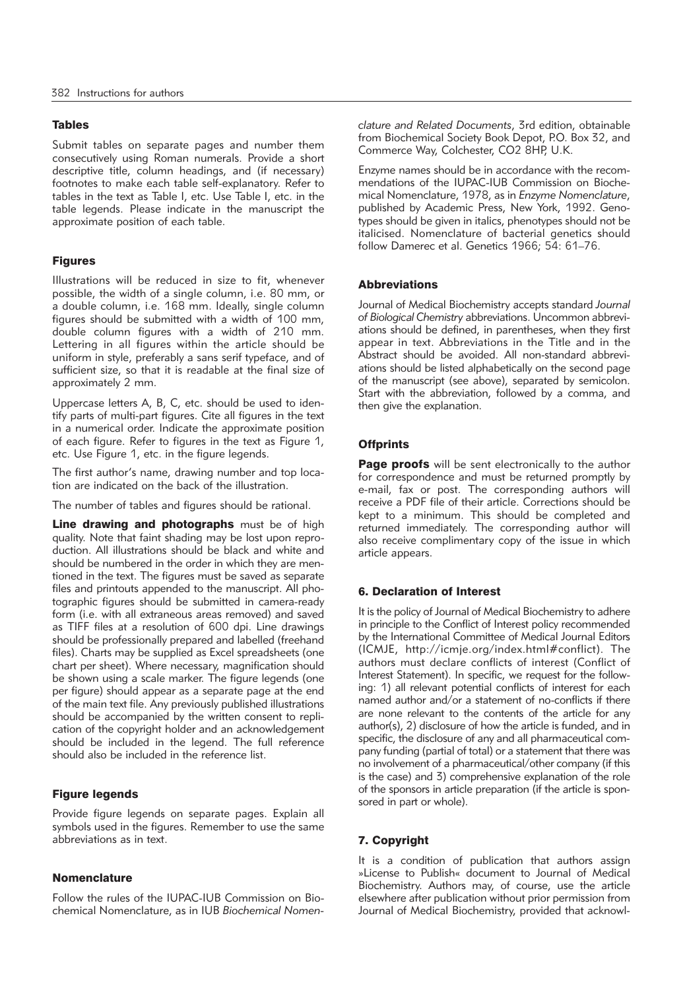## Tables

Submit tables on separate pages and number them consecutively using Roman numerals. Provide a short descriptive title, column headings, and (if necessary) footnotes to make each table self-explanatory. Refer to tables in the text as Table I, etc. Use Table I, etc. in the table legends. Please indicate in the manuscript the approximate position of each table.

## Figures

Illustrations will be reduced in size to fit, whenever possible, the width of a single column, i.e. 80 mm, or a double column, i.e. 168 mm. Ideally, single column figures should be submitted with a width of 100 mm, double column figures with a width of 210 mm. Lettering in all figures within the article should be uniform in style, preferably a sans serif typeface, and of sufficient size, so that it is readable at the final size of approximately 2 mm.

Uppercase letters A, B, C, etc. should be used to identify parts of multi-part figures. Cite all figures in the text in a numerical order. Indicate the approximate position of each figure. Refer to figures in the text as Figure 1, etc. Use Figure 1, etc. in the figure legends.

The first author's name, drawing number and top location are indicated on the back of the illustration.

The number of tables and figures should be rational.

Line drawing and photographs must be of high quality. Note that faint shading may be lost upon reproduction. All illustrations should be black and white and should be numbered in the order in which they are mentioned in the text. The figures must be saved as separate files and printouts appended to the manuscript. All photographic figures should be submitted in camera-ready form (i.e. with all extraneous areas removed) and saved as TIFF files at a resolution of 600 dpi. Line drawings should be professionally prepared and labelled (freehand files). Charts may be supplied as Excel spreadsheets (one chart per sheet). Where necessary, magnification should be shown using a scale marker. The figure legends (one per figure) should appear as a separate page at the end of the main text file. Any previously published illustrations should be accompanied by the written consent to replication of the copyright holder and an acknowledgement should be included in the legend. The full reference should also be included in the reference list.

## Figure legends

Provide figure legends on separate pages. Explain all symbols used in the figures. Remember to use the same abbreviations as in text.

## **Nomenclature**

Follow the rules of the IUPAC-IUB Commission on Biochemical Nomenclature, as in IUB *Biochemical Nomen -* *clature and Related Documents*, 3rd edition, obtainable from Biochemical Society Book Depot, P.O. Box 32, and Commerce Way, Colchester, CO2 8HP, U.K.

Enzyme names should be in accordance with the recommendations of the IUPAC-IUB Commission on Biochemical Nomenclature, 1978, as in *Enzyme Nomenclature*, published by Academic Press, New York, 1992. Genotypes should be given in italics, phenotypes should not be italicised. Nomenclature of bacterial genetics should follow Damerec et al. Genetics 1966; 54: 61–76.

## **Abbreviations**

Journal of Medical Biochemistry accepts standard *Journal* of Biological Chemistry abbreviations. Uncommon abbreviations should be defined, in parentheses, when they first appear in text. Abbreviations in the Title and in the Abstract should be avoided. All non-standard abbreviations should be listed alphabetically on the second page of the manuscript (see above), separated by semicolon. Start with the abbreviation, followed by a comma, and then give the explanation.

# **Offprints**

**Page proofs** will be sent electronically to the author for correspondence and must be returned promptly by e-mail, fax or post. The corresponding authors will receive a PDF file of their article. Corrections should be kept to a minimum. This should be completed and returned immediately. The corresponding author will also receive complimentary copy of the issue in which article appears.

## 6. Declaration of Interest

It is the policy of Journal of Medical Biochemistry to adhere in principle to the Conflict of Interest policy recommended by the International Committee of Medical Journal Editors (ICMJE, http://icmje.org/index.html#conflict). The authors must declare conflicts of interest (Conflict of Interest Statement). In specific, we request for the following: 1) all relevant potential conflicts of interest for each named author and/or a statement of no-conflicts if there are none relevant to the contents of the article for any author(s), 2) disclosure of how the article is funded, and in specific, the disclosure of any and all pharmaceutical company funding (partial of total) or a statement that there was no involvement of a pharmaceutical/other company (if this is the case) and 3) comprehensive explanation of the role of the sponsors in article preparation (if the article is sponsored in part or whole).

# 7. Copyright

It is a condition of publication that authors assign »License to Publish« document to Journal of Medical Biochemistry. Authors may, of course, use the article elsewhere after publication without prior permission from Journal of Medical Biochemistry, provided that acknowl